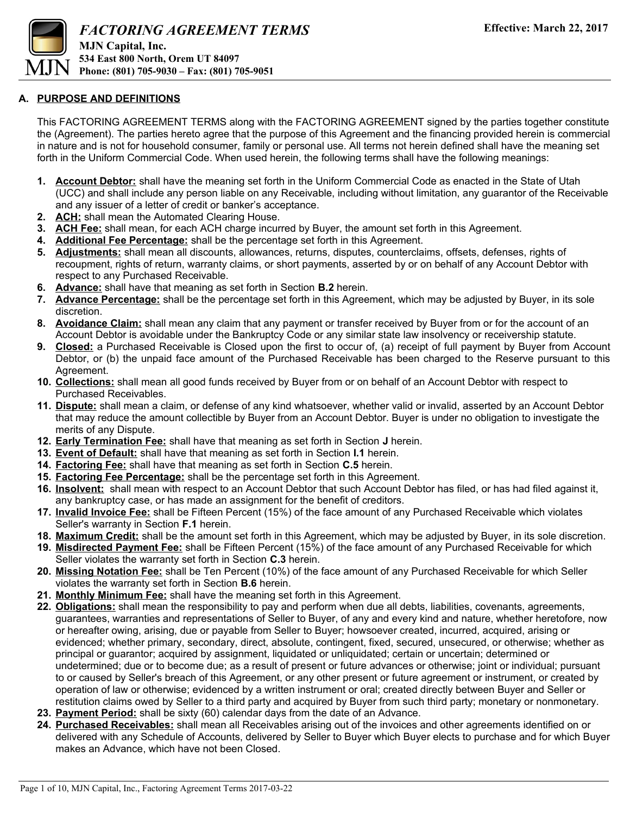

#### **A. PURPOSE AND DEFINITIONS**

This FACTORING AGREEMENT TERMS along with the FACTORING AGREEMENT signed by the parties together constitute the (Agreement). The parties hereto agree that the purpose of this Agreement and the financing provided herein is commercial in nature and is not for household consumer, family or personal use. All terms not herein defined shall have the meaning set forth in the Uniform Commercial Code. When used herein, the following terms shall have the following meanings:

- **1. Account Debtor:** shall have the meaning set forth in the Uniform Commercial Code as enacted in the State of Utah (UCC) and shall include any person liable on any Receivable, including without limitation, any guarantor of the Receivable and any issuer of a letter of credit or banker's acceptance.
- **2. ACH:** shall mean the Automated Clearing House.
- **3. ACH Fee:** shall mean, for each ACH charge incurred by Buyer, the amount set forth in this Agreement.
- **4. Additional Fee Percentage:** shall be the percentage set forth in this Agreement.
- **5. Adjustments:** shall mean all discounts, allowances, returns, disputes, counterclaims, offsets, defenses, rights of recoupment, rights of return, warranty claims, or short payments, asserted by or on behalf of any Account Debtor with respect to any Purchased Receivable.
- **6. Advance:** shall have that meaning as set forth in Section **B.2** herein.
- **7. Advance Percentage:** shall be the percentage set forth in this Agreement, which may be adjusted by Buyer, in its sole discretion.
- **8. Avoidance Claim:** shall mean any claim that any payment or transfer received by Buyer from or for the account of an Account Debtor is avoidable under the Bankruptcy Code or any similar state law insolvency or receivership statute.
- **9. Closed:** a Purchased Receivable is Closed upon the first to occur of, (a) receipt of full payment by Buyer from Account Debtor, or (b) the unpaid face amount of the Purchased Receivable has been charged to the Reserve pursuant to this Agreement.
- **10. Collections:** shall mean all good funds received by Buyer from or on behalf of an Account Debtor with respect to Purchased Receivables.
- **11. Dispute:** shall mean a claim, or defense of any kind whatsoever, whether valid or invalid, asserted by an Account Debtor that may reduce the amount collectible by Buyer from an Account Debtor. Buyer is under no obligation to investigate the merits of any Dispute.
- **12. Early Termination Fee:** shall have that meaning as set forth in Section **J** herein.
- **13. Event of Default:** shall have that meaning as set forth in Section **I.1** herein.
- **14. Factoring Fee:** shall have that meaning as set forth in Section **C.5** herein.
- **15. Factoring Fee Percentage:** shall be the percentage set forth in this Agreement.
- **16. Insolvent:** shall mean with respect to an Account Debtor that such Account Debtor has filed, or has had filed against it, any bankruptcy case, or has made an assignment for the benefit of creditors.
- **17. Invalid Invoice Fee:** shall be Fifteen Percent (15%) of the face amount of any Purchased Receivable which violates Seller's warranty in Section **F.1** herein.
- **18. Maximum Credit:** shall be the amount set forth in this Agreement, which may be adjusted by Buyer, in its sole discretion.
- **19. Misdirected Payment Fee:** shall be Fifteen Percent (15%) of the face amount of any Purchased Receivable for which Seller violates the warranty set forth in Section **C.3** herein.
- **20. Missing Notation Fee:** shall be Ten Percent (10%) of the face amount of any Purchased Receivable for which Seller violates the warranty set forth in Section **B.6** herein.
- **21. Monthly Minimum Fee:** shall have the meaning set forth in this Agreement.
- **22. Obligations:** shall mean the responsibility to pay and perform when due all debts, liabilities, covenants, agreements, guarantees, warranties and representations of Seller to Buyer, of any and every kind and nature, whether heretofore, now or hereafter owing, arising, due or payable from Seller to Buyer; howsoever created, incurred, acquired, arising or evidenced; whether primary, secondary, direct, absolute, contingent, fixed, secured, unsecured, or otherwise; whether as principal or guarantor; acquired by assignment, liquidated or unliquidated; certain or uncertain; determined or undetermined; due or to become due; as a result of present or future advances or otherwise; joint or individual; pursuant to or caused by Seller's breach of this Agreement, or any other present or future agreement or instrument, or created by operation of law or otherwise; evidenced by a written instrument or oral; created directly between Buyer and Seller or restitution claims owed by Seller to a third party and acquired by Buyer from such third party; monetary or nonmonetary.
- **23. Payment Period:** shall be sixty (60) calendar days from the date of an Advance.
- **24. Purchased Receivables:** shall mean all Receivables arising out of the invoices and other agreements identified on or delivered with any Schedule of Accounts, delivered by Seller to Buyer which Buyer elects to purchase and for which Buyer makes an Advance, which have not been Closed.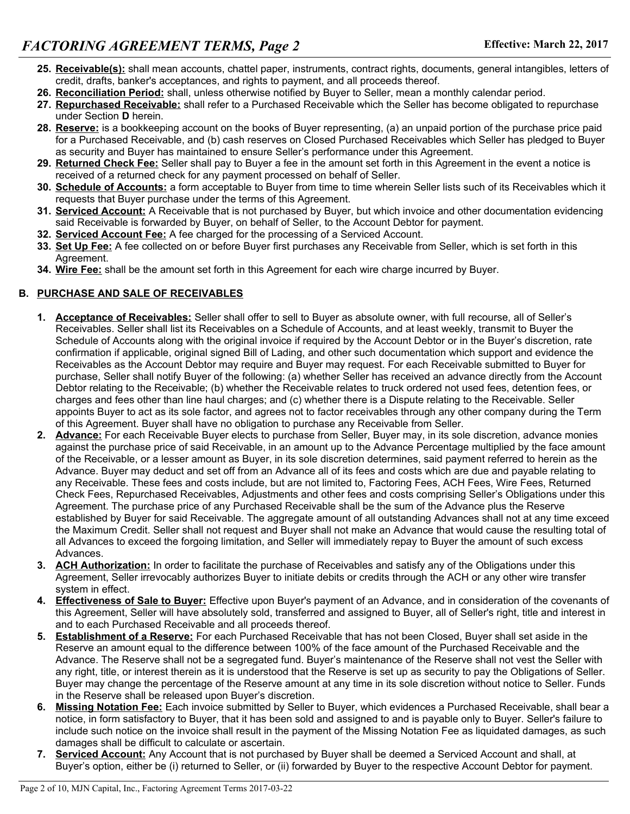- **25. Receivable(s):** shall mean accounts, chattel paper, instruments, contract rights, documents, general intangibles, letters of credit, drafts, banker's acceptances, and rights to payment, and all proceeds thereof.
- **26. Reconciliation Period:** shall, unless otherwise notified by Buyer to Seller, mean a monthly calendar period.
- **27. Repurchased Receivable:** shall refer to a Purchased Receivable which the Seller has become obligated to repurchase under Section **D** herein.
- **28. Reserve:** is a bookkeeping account on the books of Buyer representing, (a) an unpaid portion of the purchase price paid for a Purchased Receivable, and (b) cash reserves on Closed Purchased Receivables which Seller has pledged to Buyer as security and Buyer has maintained to ensure Seller's performance under this Agreement.
- **29. Returned Check Fee:** Seller shall pay to Buyer a fee in the amount set forth in this Agreement in the event a notice is received of a returned check for any payment processed on behalf of Seller.
- **30. Schedule of Accounts:** a form acceptable to Buyer from time to time wherein Seller lists such of its Receivables which it requests that Buyer purchase under the terms of this Agreement.
- **31. Serviced Account:** A Receivable that is not purchased by Buyer, but which invoice and other documentation evidencing said Receivable is forwarded by Buyer, on behalf of Seller, to the Account Debtor for payment.
- **32. Serviced Account Fee:** A fee charged for the processing of a Serviced Account.
- **33. Set Up Fee:** A fee collected on or before Buyer first purchases any Receivable from Seller, which is set forth in this Agreement.
- **34. Wire Fee:** shall be the amount set forth in this Agreement for each wire charge incurred by Buyer.

### **B. PURCHASE AND SALE OF RECEIVABLES**

- **1. Acceptance of Receivables:** Seller shall offer to sell to Buyer as absolute owner, with full recourse, all of Seller's Receivables. Seller shall list its Receivables on a Schedule of Accounts, and at least weekly, transmit to Buyer the Schedule of Accounts along with the original invoice if required by the Account Debtor or in the Buyer's discretion, rate confirmation if applicable, original signed Bill of Lading, and other such documentation which support and evidence the Receivables as the Account Debtor may require and Buyer may request. For each Receivable submitted to Buyer for purchase, Seller shall notify Buyer of the following: (a) whether Seller has received an advance directly from the Account Debtor relating to the Receivable; (b) whether the Receivable relates to truck ordered not used fees, detention fees, or charges and fees other than line haul charges; and (c) whether there is a Dispute relating to the Receivable. Seller appoints Buyer to act as its sole factor, and agrees not to factor receivables through any other company during the Term of this Agreement. Buyer shall have no obligation to purchase any Receivable from Seller.
- **2. Advance:** For each Receivable Buyer elects to purchase from Seller, Buyer may, in its sole discretion, advance monies against the purchase price of said Receivable, in an amount up to the Advance Percentage multiplied by the face amount of the Receivable, or a lesser amount as Buyer, in its sole discretion determines, said payment referred to herein as the Advance. Buyer may deduct and set off from an Advance all of its fees and costs which are due and payable relating to any Receivable. These fees and costs include, but are not limited to, Factoring Fees, ACH Fees, Wire Fees, Returned Check Fees, Repurchased Receivables, Adjustments and other fees and costs comprising Seller's Obligations under this Agreement. The purchase price of any Purchased Receivable shall be the sum of the Advance plus the Reserve established by Buyer for said Receivable. The aggregate amount of all outstanding Advances shall not at any time exceed the Maximum Credit. Seller shall not request and Buyer shall not make an Advance that would cause the resulting total of all Advances to exceed the forgoing limitation, and Seller will immediately repay to Buyer the amount of such excess Advances.
- **3. ACH Authorization:** In order to facilitate the purchase of Receivables and satisfy any of the Obligations under this Agreement, Seller irrevocably authorizes Buyer to initiate debits or credits through the ACH or any other wire transfer system in effect.
- **4. Effectiveness of Sale to Buyer:** Effective upon Buyer's payment of an Advance, and in consideration of the covenants of this Agreement, Seller will have absolutely sold, transferred and assigned to Buyer, all of Seller's right, title and interest in and to each Purchased Receivable and all proceeds thereof.
- **5. Establishment of a Reserve:** For each Purchased Receivable that has not been Closed, Buyer shall set aside in the Reserve an amount equal to the difference between 100% of the face amount of the Purchased Receivable and the Advance. The Reserve shall not be a segregated fund. Buyer's maintenance of the Reserve shall not vest the Seller with any right, title, or interest therein as it is understood that the Reserve is set up as security to pay the Obligations of Seller. Buyer may change the percentage of the Reserve amount at any time in its sole discretion without notice to Seller. Funds in the Reserve shall be released upon Buyer's discretion.
- **6. Missing Notation Fee:** Each invoice submitted by Seller to Buyer, which evidences a Purchased Receivable, shall bear a notice, in form satisfactory to Buyer, that it has been sold and assigned to and is payable only to Buyer. Seller's failure to include such notice on the invoice shall result in the payment of the Missing Notation Fee as liquidated damages, as such damages shall be difficult to calculate or ascertain.
- **7. Serviced Account:** Any Account that is not purchased by Buyer shall be deemed a Serviced Account and shall, at Buyer's option, either be (i) returned to Seller, or (ii) forwarded by Buyer to the respective Account Debtor for payment.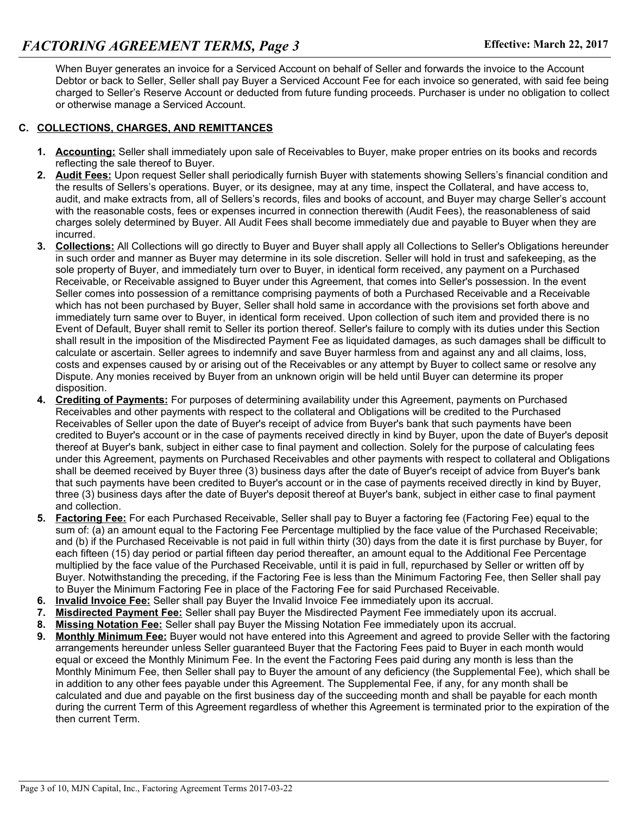When Buyer generates an invoice for a Serviced Account on behalf of Seller and forwards the invoice to the Account Debtor or back to Seller, Seller shall pay Buyer a Serviced Account Fee for each invoice so generated, with said fee being charged to Seller's Reserve Account or deducted from future funding proceeds. Purchaser is under no obligation to collect or otherwise manage a Serviced Account.

#### **C. COLLECTIONS, CHARGES, AND REMITTANCES**

- **1. Accounting:** Seller shall immediately upon sale of Receivables to Buyer, make proper entries on its books and records reflecting the sale thereof to Buyer.
- **2. Audit Fees:** Upon request Seller shall periodically furnish Buyer with statements showing Sellers's financial condition and the results of Sellers's operations. Buyer, or its designee, may at any time, inspect the Collateral, and have access to, audit, and make extracts from, all of Sellers's records, files and books of account, and Buyer may charge Seller's account with the reasonable costs, fees or expenses incurred in connection therewith (Audit Fees), the reasonableness of said charges solely determined by Buyer. All Audit Fees shall become immediately due and payable to Buyer when they are incurred.
- **3. Collections:** All Collections will go directly to Buyer and Buyer shall apply all Collections to Seller's Obligations hereunder in such order and manner as Buyer may determine in its sole discretion. Seller will hold in trust and safekeeping, as the sole property of Buyer, and immediately turn over to Buyer, in identical form received, any payment on a Purchased Receivable, or Receivable assigned to Buyer under this Agreement, that comes into Seller's possession. In the event Seller comes into possession of a remittance comprising payments of both a Purchased Receivable and a Receivable which has not been purchased by Buyer, Seller shall hold same in accordance with the provisions set forth above and immediately turn same over to Buyer, in identical form received. Upon collection of such item and provided there is no Event of Default, Buyer shall remit to Seller its portion thereof. Seller's failure to comply with its duties under this Section shall result in the imposition of the Misdirected Payment Fee as liquidated damages, as such damages shall be difficult to calculate or ascertain. Seller agrees to indemnify and save Buyer harmless from and against any and all claims, loss, costs and expenses caused by or arising out of the Receivables or any attempt by Buyer to collect same or resolve any Dispute. Any monies received by Buyer from an unknown origin will be held until Buyer can determine its proper disposition.
- **4. Crediting of Payments:** For purposes of determining availability under this Agreement, payments on Purchased Receivables and other payments with respect to the collateral and Obligations will be credited to the Purchased Receivables of Seller upon the date of Buyer's receipt of advice from Buyer's bank that such payments have been credited to Buyer's account or in the case of payments received directly in kind by Buyer, upon the date of Buyer's deposit thereof at Buyer's bank, subject in either case to final payment and collection. Solely for the purpose of calculating fees under this Agreement, payments on Purchased Receivables and other payments with respect to collateral and Obligations shall be deemed received by Buyer three (3) business days after the date of Buyer's receipt of advice from Buyer's bank that such payments have been credited to Buyer's account or in the case of payments received directly in kind by Buyer, three (3) business days after the date of Buyer's deposit thereof at Buyer's bank, subject in either case to final payment and collection.
- **5. Factoring Fee:** For each Purchased Receivable, Seller shall pay to Buyer a factoring fee (Factoring Fee) equal to the sum of: (a) an amount equal to the Factoring Fee Percentage multiplied by the face value of the Purchased Receivable; and (b) if the Purchased Receivable is not paid in full within thirty (30) days from the date it is first purchase by Buyer, for each fifteen (15) day period or partial fifteen day period thereafter, an amount equal to the Additional Fee Percentage multiplied by the face value of the Purchased Receivable, until it is paid in full, repurchased by Seller or written off by Buyer. Notwithstanding the preceding, if the Factoring Fee is less than the Minimum Factoring Fee, then Seller shall pay to Buyer the Minimum Factoring Fee in place of the Factoring Fee for said Purchased Receivable.
- **6. Invalid Invoice Fee:** Seller shall pay Buyer the Invalid Invoice Fee immediately upon its accrual.
- **7. Misdirected Payment Fee:** Seller shall pay Buyer the Misdirected Payment Fee immediately upon its accrual.
- **8. Missing Notation Fee:** Seller shall pay Buyer the Missing Notation Fee immediately upon its accrual.
- **9. Monthly Minimum Fee:** Buyer would not have entered into this Agreement and agreed to provide Seller with the factoring arrangements hereunder unless Seller guaranteed Buyer that the Factoring Fees paid to Buyer in each month would equal or exceed the Monthly Minimum Fee. In the event the Factoring Fees paid during any month is less than the Monthly Minimum Fee, then Seller shall pay to Buyer the amount of any deficiency (the Supplemental Fee), which shall be in addition to any other fees payable under this Agreement. The Supplemental Fee, if any, for any month shall be calculated and due and payable on the first business day of the succeeding month and shall be payable for each month during the current Term of this Agreement regardless of whether this Agreement is terminated prior to the expiration of the then current Term.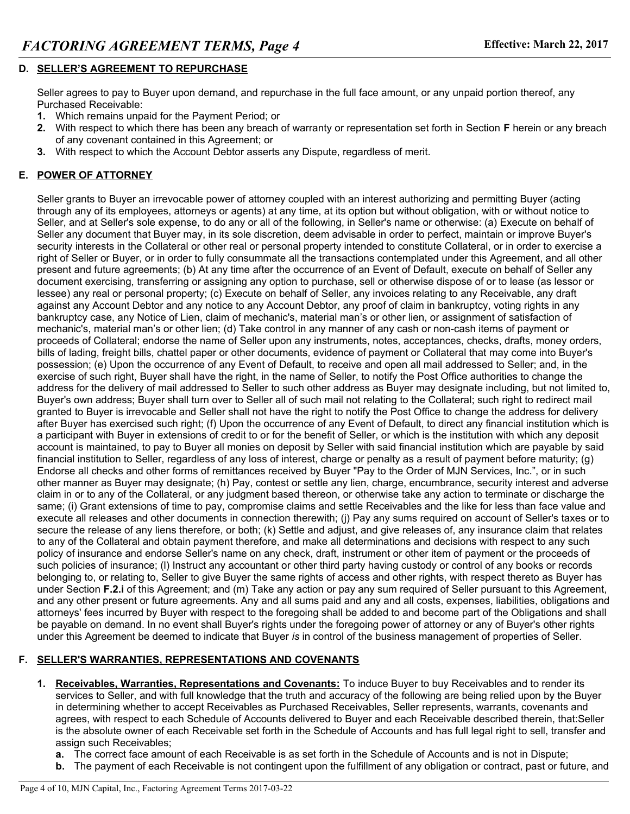# **D. SELLER'S AGREEMENT TO REPURCHASE**

Seller agrees to pay to Buyer upon demand, and repurchase in the full face amount, or any unpaid portion thereof, any Purchased Receivable:

- **1.** Which remains unpaid for the Payment Period; or
- **2.** With respect to which there has been any breach of warranty or representation set forth in Section **F** herein or any breach of any covenant contained in this Agreement; or
- **3.** With respect to which the Account Debtor asserts any Dispute, regardless of merit.

# **E. POWER OF ATTORNEY**

Seller grants to Buyer an irrevocable power of attorney coupled with an interest authorizing and permitting Buyer (acting through any of its employees, attorneys or agents) at any time, at its option but without obligation, with or without notice to Seller, and at Seller's sole expense, to do any or all of the following, in Seller's name or otherwise: (a) Execute on behalf of Seller any document that Buyer may, in its sole discretion, deem advisable in order to perfect, maintain or improve Buyer's security interests in the Collateral or other real or personal property intended to constitute Collateral, or in order to exercise a right of Seller or Buyer, or in order to fully consummate all the transactions contemplated under this Agreement, and all other present and future agreements; (b) At any time after the occurrence of an Event of Default, execute on behalf of Seller any document exercising, transferring or assigning any option to purchase, sell or otherwise dispose of or to lease (as lessor or lessee) any real or personal property; (c) Execute on behalf of Seller, any invoices relating to any Receivable, any draft against any Account Debtor and any notice to any Account Debtor, any proof of claim in bankruptcy, voting rights in any bankruptcy case, any Notice of Lien, claim of mechanic's, material man's or other lien, or assignment of satisfaction of mechanic's, material man's or other lien; (d) Take control in any manner of any cash or non-cash items of payment or proceeds of Collateral; endorse the name of Seller upon any instruments, notes, acceptances, checks, drafts, money orders, bills of lading, freight bills, chattel paper or other documents, evidence of payment or Collateral that may come into Buyer's possession; (e) Upon the occurrence of any Event of Default, to receive and open all mail addressed to Seller; and, in the exercise of such right, Buyer shall have the right, in the name of Seller, to notify the Post Office authorities to change the address for the delivery of mail addressed to Seller to such other address as Buyer may designate including, but not limited to, Buyer's own address; Buyer shall turn over to Seller all of such mail not relating to the Collateral; such right to redirect mail granted to Buyer is irrevocable and Seller shall not have the right to notify the Post Office to change the address for delivery after Buyer has exercised such right; (f) Upon the occurrence of any Event of Default, to direct any financial institution which is a participant with Buyer in extensions of credit to or for the benefit of Seller, or which is the institution with which any deposit account is maintained, to pay to Buyer all monies on deposit by Seller with said financial institution which are payable by said financial institution to Seller, regardless of any loss of interest, charge or penalty as a result of payment before maturity; (g) Endorse all checks and other forms of remittances received by Buyer "Pay to the Order of MJN Services, Inc.", or in such other manner as Buyer may designate; (h) Pay, contest or settle any lien, charge, encumbrance, security interest and adverse claim in or to any of the Collateral, or any judgment based thereon, or otherwise take any action to terminate or discharge the same; (i) Grant extensions of time to pay, compromise claims and settle Receivables and the like for less than face value and execute all releases and other documents in connection therewith; (j) Pay any sums required on account of Seller's taxes or to secure the release of any liens therefore, or both; (k) Settle and adjust, and give releases of, any insurance claim that relates to any of the Collateral and obtain payment therefore, and make all determinations and decisions with respect to any such policy of insurance and endorse Seller's name on any check, draft, instrument or other item of payment or the proceeds of such policies of insurance; (l) Instruct any accountant or other third party having custody or control of any books or records belonging to, or relating to, Seller to give Buyer the same rights of access and other rights, with respect thereto as Buyer has under Section **F.2.i** of this Agreement; and (m) Take any action or pay any sum required of Seller pursuant to this Agreement, and any other present or future agreements. Any and all sums paid and any and all costs, expenses, liabilities, obligations and attorneys' fees incurred by Buyer with respect to the foregoing shall be added to and become part of the Obligations and shall be payable on demand. In no event shall Buyer's rights under the foregoing power of attorney or any of Buyer's other rights under this Agreement be deemed to indicate that Buyer *is* in control of the business management of properties of Seller.

# **F. SELLER'S WARRANTIES, REPRESENTATIONS AND COVENANTS**

- **1. Receivables, Warranties, Representations and Covenants:** To induce Buyer to buy Receivables and to render its services to Seller, and with full knowledge that the truth and accuracy of the following are being relied upon by the Buyer in determining whether to accept Receivables as Purchased Receivables, Seller represents, warrants, covenants and agrees, with respect to each Schedule of Accounts delivered to Buyer and each Receivable described therein, that:Seller is the absolute owner of each Receivable set forth in the Schedule of Accounts and has full legal right to sell, transfer and assign such Receivables;
	- **a.** The correct face amount of each Receivable is as set forth in the Schedule of Accounts and is not in Dispute;
	- **b.** The payment of each Receivable is not contingent upon the fulfillment of any obligation or contract, past or future, and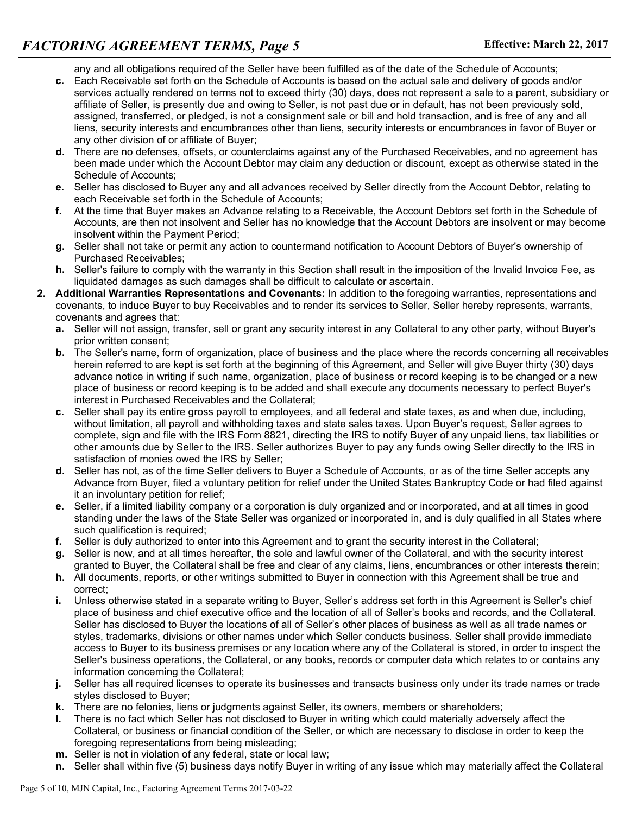any and all obligations required of the Seller have been fulfilled as of the date of the Schedule of Accounts;

- **c.** Each Receivable set forth on the Schedule of Accounts is based on the actual sale and delivery of goods and/or services actually rendered on terms not to exceed thirty (30) days, does not represent a sale to a parent, subsidiary or affiliate of Seller, is presently due and owing to Seller, is not past due or in default, has not been previously sold, assigned, transferred, or pledged, is not a consignment sale or bill and hold transaction, and is free of any and all liens, security interests and encumbrances other than liens, security interests or encumbrances in favor of Buyer or any other division of or affiliate of Buyer;
- **d.** There are no defenses, offsets, or counterclaims against any of the Purchased Receivables, and no agreement has been made under which the Account Debtor may claim any deduction or discount, except as otherwise stated in the Schedule of Accounts;
- **e.** Seller has disclosed to Buyer any and all advances received by Seller directly from the Account Debtor, relating to each Receivable set forth in the Schedule of Accounts;
- **f.** At the time that Buyer makes an Advance relating to a Receivable, the Account Debtors set forth in the Schedule of Accounts, are then not insolvent and Seller has no knowledge that the Account Debtors are insolvent or may become insolvent within the Payment Period;
- **g.** Seller shall not take or permit any action to countermand notification to Account Debtors of Buyer's ownership of Purchased Receivables;
- **h.** Seller's failure to comply with the warranty in this Section shall result in the imposition of the Invalid Invoice Fee, as liquidated damages as such damages shall be difficult to calculate or ascertain.
- **2. Additional Warranties Representations and Covenants:** In addition to the foregoing warranties, representations and covenants, to induce Buyer to buy Receivables and to render its services to Seller, Seller hereby represents, warrants, covenants and agrees that:
	- **a.** Seller will not assign, transfer, sell or grant any security interest in any Collateral to any other party, without Buyer's prior written consent;
	- **b.** The Seller's name, form of organization, place of business and the place where the records concerning all receivables herein referred to are kept is set forth at the beginning of this Agreement, and Seller will give Buyer thirty (30) days advance notice in writing if such name, organization, place of business or record keeping is to be changed or a new place of business or record keeping is to be added and shall execute any documents necessary to perfect Buyer's interest in Purchased Receivables and the Collateral;
	- **c.** Seller shall pay its entire gross payroll to employees, and all federal and state taxes, as and when due, including, without limitation, all payroll and withholding taxes and state sales taxes. Upon Buyer's request, Seller agrees to complete, sign and file with the IRS Form 8821, directing the IRS to notify Buyer of any unpaid liens, tax liabilities or other amounts due by Seller to the IRS. Seller authorizes Buyer to pay any funds owing Seller directly to the IRS in satisfaction of monies owed the IRS by Seller;
	- **d.** Seller has not, as of the time Seller delivers to Buyer a Schedule of Accounts, or as of the time Seller accepts any Advance from Buyer, filed a voluntary petition for relief under the United States Bankruptcy Code or had filed against it an involuntary petition for relief;
	- **e.** Seller, if a limited liability company or a corporation is duly organized and or incorporated, and at all times in good standing under the laws of the State Seller was organized or incorporated in, and is duly qualified in all States where such qualification is required;
	- **f.** Seller is duly authorized to enter into this Agreement and to grant the security interest in the Collateral;
	- **g.** Seller is now, and at all times hereafter, the sole and lawful owner of the Collateral, and with the security interest granted to Buyer, the Collateral shall be free and clear of any claims, liens, encumbrances or other interests therein;
	- **h.** All documents, reports, or other writings submitted to Buyer in connection with this Agreement shall be true and correct;
	- **i.** Unless otherwise stated in a separate writing to Buyer, Seller's address set forth in this Agreement is Seller's chief place of business and chief executive office and the location of all of Seller's books and records, and the Collateral. Seller has disclosed to Buyer the locations of all of Seller's other places of business as well as all trade names or styles, trademarks, divisions or other names under which Seller conducts business. Seller shall provide immediate access to Buyer to its business premises or any location where any of the Collateral is stored, in order to inspect the Seller's business operations, the Collateral, or any books, records or computer data which relates to or contains any information concerning the Collateral;
	- **j.** Seller has all required licenses to operate its businesses and transacts business only under its trade names or trade styles disclosed to Buyer;
	- **k.** There are no felonies, liens or judgments against Seller, its owners, members or shareholders;
	- **l.** There is no fact which Seller has not disclosed to Buyer in writing which could materially adversely affect the Collateral, or business or financial condition of the Seller, or which are necessary to disclose in order to keep the foregoing representations from being misleading;
	- **m.** Seller is not in violation of any federal, state or local law;
	- **n.** Seller shall within five (5) business days notify Buyer in writing of any issue which may materially affect the Collateral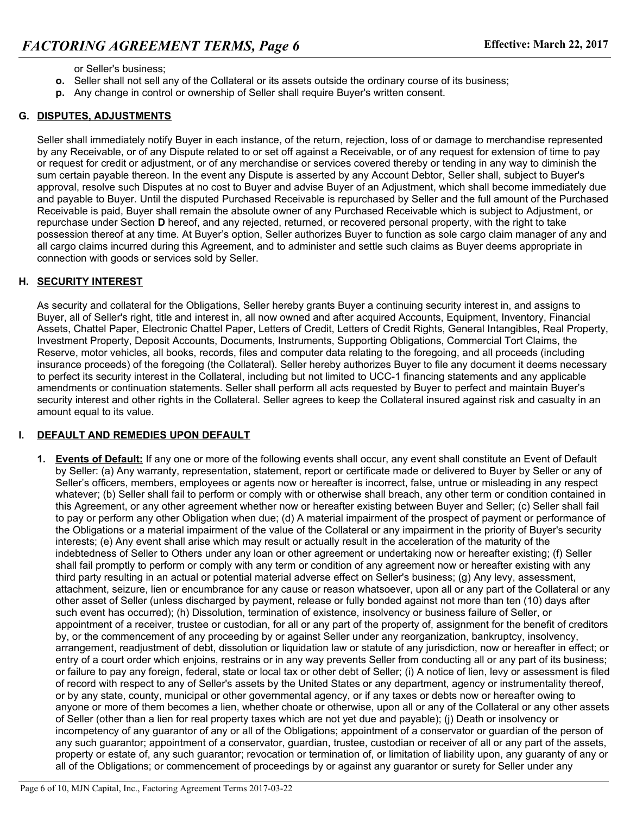- or Seller's business;
- **o.** Seller shall not sell any of the Collateral or its assets outside the ordinary course of its business;
- **p.** Any change in control or ownership of Seller shall require Buyer's written consent.

### **G. DISPUTES, ADJUSTMENTS**

Seller shall immediately notify Buyer in each instance, of the return, rejection, loss of or damage to merchandise represented by any Receivable, or of any Dispute related to or set off against a Receivable, or of any request for extension of time to pay or request for credit or adjustment, or of any merchandise or services covered thereby or tending in any way to diminish the sum certain payable thereon. In the event any Dispute is asserted by any Account Debtor, Seller shall, subject to Buyer's approval, resolve such Disputes at no cost to Buyer and advise Buyer of an Adjustment, which shall become immediately due and payable to Buyer. Until the disputed Purchased Receivable is repurchased by Seller and the full amount of the Purchased Receivable is paid, Buyer shall remain the absolute owner of any Purchased Receivable which is subject to Adjustment, or repurchase under Section **D** hereof, and any rejected, returned, or recovered personal property, with the right to take possession thereof at any time. At Buyer's option, Seller authorizes Buyer to function as sole cargo claim manager of any and all cargo claims incurred during this Agreement, and to administer and settle such claims as Buyer deems appropriate in connection with goods or services sold by Seller.

#### **H. SECURITY INTEREST**

As security and collateral for the Obligations, Seller hereby grants Buyer a continuing security interest in, and assigns to Buyer, all of Seller's right, title and interest in, all now owned and after acquired Accounts, Equipment, Inventory, Financial Assets, Chattel Paper, Electronic Chattel Paper, Letters of Credit, Letters of Credit Rights, General Intangibles, Real Property, Investment Property, Deposit Accounts, Documents, Instruments, Supporting Obligations, Commercial Tort Claims, the Reserve, motor vehicles, all books, records, files and computer data relating to the foregoing, and all proceeds (including insurance proceeds) of the foregoing (the Collateral). Seller hereby authorizes Buyer to file any document it deems necessary to perfect its security interest in the Collateral, including but not limited to UCC-1 financing statements and any applicable amendments or continuation statements. Seller shall perform all acts requested by Buyer to perfect and maintain Buyer's security interest and other rights in the Collateral. Seller agrees to keep the Collateral insured against risk and casualty in an amount equal to its value.

#### **I. DEFAULT AND REMEDIES UPON DEFAULT**

**1. Events of Default:** If any one or more of the following events shall occur, any event shall constitute an Event of Default by Seller: (a) Any warranty, representation, statement, report or certificate made or delivered to Buyer by Seller or any of Seller's officers, members, employees or agents now or hereafter is incorrect, false, untrue or misleading in any respect whatever; (b) Seller shall fail to perform or comply with or otherwise shall breach, any other term or condition contained in this Agreement, or any other agreement whether now or hereafter existing between Buyer and Seller; (c) Seller shall fail to pay or perform any other Obligation when due; (d) A material impairment of the prospect of payment or performance of the Obligations or a material impairment of the value of the Collateral or any impairment in the priority of Buyer's security interests; (e) Any event shall arise which may result or actually result in the acceleration of the maturity of the indebtedness of Seller to Others under any loan or other agreement or undertaking now or hereafter existing; (f) Seller shall fail promptly to perform or comply with any term or condition of any agreement now or hereafter existing with any third party resulting in an actual or potential material adverse effect on Seller's business; (g) Any levy, assessment, attachment, seizure, lien or encumbrance for any cause or reason whatsoever, upon all or any part of the Collateral or any other asset of Seller (unless discharged by payment, release or fully bonded against not more than ten (10) days after such event has occurred); (h) Dissolution, termination of existence, insolvency or business failure of Seller, or appointment of a receiver, trustee or custodian, for all or any part of the property of, assignment for the benefit of creditors by, or the commencement of any proceeding by or against Seller under any reorganization, bankruptcy, insolvency, arrangement, readjustment of debt, dissolution or liquidation law or statute of any jurisdiction, now or hereafter in effect; or entry of a court order which enjoins, restrains or in any way prevents Seller from conducting all or any part of its business; or failure to pay any foreign, federal, state or local tax or other debt of Seller; (i) A notice of lien, levy or assessment is filed of record with respect to any of Seller's assets by the United States or any department, agency or instrumentality thereof, or by any state, county, municipal or other governmental agency, or if any taxes or debts now or hereafter owing to anyone or more of them becomes a lien, whether choate or otherwise, upon all or any of the Collateral or any other assets of Seller (other than a lien for real property taxes which are not yet due and payable); (j) Death or insolvency or incompetency of any guarantor of any or all of the Obligations; appointment of a conservator or guardian of the person of any such guarantor; appointment of a conservator, guardian, trustee, custodian or receiver of all or any part of the assets, property or estate of, any such guarantor; revocation or termination of, or limitation of liability upon, any guaranty of any or all of the Obligations; or commencement of proceedings by or against any guarantor or surety for Seller under any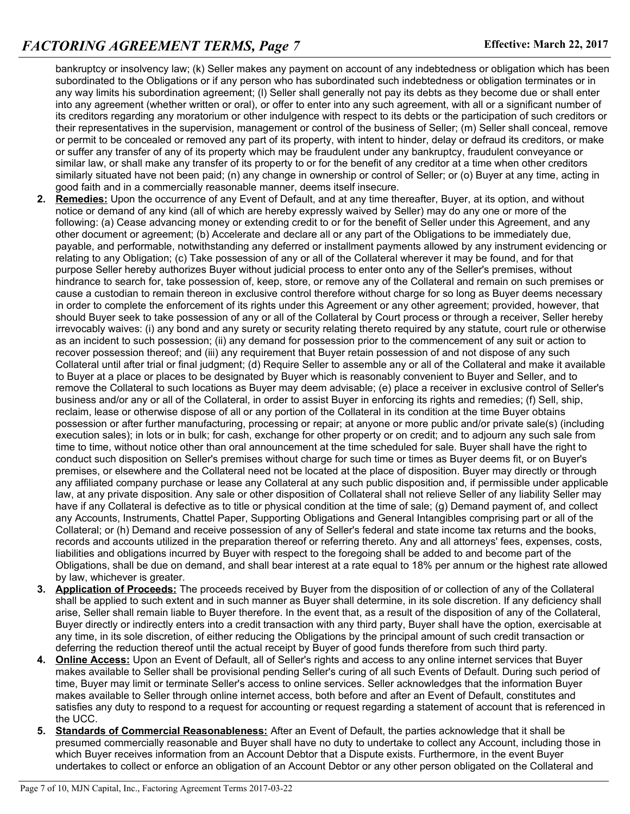bankruptcy or insolvency law; (k) Seller makes any payment on account of any indebtedness or obligation which has been subordinated to the Obligations or if any person who has subordinated such indebtedness or obligation terminates or in any way limits his subordination agreement; (l) Seller shall generally not pay its debts as they become due or shall enter into any agreement (whether written or oral), or offer to enter into any such agreement, with all or a significant number of its creditors regarding any moratorium or other indulgence with respect to its debts or the participation of such creditors or their representatives in the supervision, management or control of the business of Seller; (m) Seller shall conceal, remove or permit to be concealed or removed any part of its property, with intent to hinder, delay or defraud its creditors, or make or suffer any transfer of any of its property which may be fraudulent under any bankruptcy, fraudulent conveyance or similar law, or shall make any transfer of its property to or for the benefit of any creditor at a time when other creditors similarly situated have not been paid; (n) any change in ownership or control of Seller; or (o) Buyer at any time, acting in good faith and in a commercially reasonable manner, deems itself insecure.

- **2. Remedies:** Upon the occurrence of any Event of Default, and at any time thereafter, Buyer, at its option, and without notice or demand of any kind (all of which are hereby expressly waived by Seller) may do any one or more of the following: (a) Cease advancing money or extending credit to or for the benefit of Seller under this Agreement, and any other document or agreement; (b) Accelerate and declare all or any part of the Obligations to be immediately due, payable, and performable, notwithstanding any deferred or installment payments allowed by any instrument evidencing or relating to any Obligation; (c) Take possession of any or all of the Collateral wherever it may be found, and for that purpose Seller hereby authorizes Buyer without judicial process to enter onto any of the Seller's premises, without hindrance to search for, take possession of, keep, store, or remove any of the Collateral and remain on such premises or cause a custodian to remain thereon in exclusive control therefore without charge for so long as Buyer deems necessary in order to complete the enforcement of its rights under this Agreement or any other agreement; provided, however, that should Buyer seek to take possession of any or all of the Collateral by Court process or through a receiver, Seller hereby irrevocably waives: (i) any bond and any surety or security relating thereto required by any statute, court rule or otherwise as an incident to such possession; (ii) any demand for possession prior to the commencement of any suit or action to recover possession thereof; and (iii) any requirement that Buyer retain possession of and not dispose of any such Collateral until after trial or final judgment; (d) Require Seller to assemble any or all of the Collateral and make it available to Buyer at a place or places to be designated by Buyer which is reasonably convenient to Buyer and Seller, and to remove the Collateral to such locations as Buyer may deem advisable; (e) place a receiver in exclusive control of Seller's business and/or any or all of the Collateral, in order to assist Buyer in enforcing its rights and remedies; (f) Sell, ship, reclaim, lease or otherwise dispose of all or any portion of the Collateral in its condition at the time Buyer obtains possession or after further manufacturing, processing or repair; at anyone or more public and/or private sale(s) (including execution sales); in lots or in bulk; for cash, exchange for other property or on credit; and to adjourn any such sale from time to time, without notice other than oral announcement at the time scheduled for sale. Buyer shall have the right to conduct such disposition on Seller's premises without charge for such time or times as Buyer deems fit, or on Buyer's premises, or elsewhere and the Collateral need not be located at the place of disposition. Buyer may directly or through any affiliated company purchase or lease any Collateral at any such public disposition and, if permissible under applicable law, at any private disposition. Any sale or other disposition of Collateral shall not relieve Seller of any liability Seller may have if any Collateral is defective as to title or physical condition at the time of sale; (g) Demand payment of, and collect any Accounts, Instruments, Chattel Paper, Supporting Obligations and General Intangibles comprising part or all of the Collateral; or (h) Demand and receive possession of any of Seller's federal and state income tax returns and the books, records and accounts utilized in the preparation thereof or referring thereto. Any and all attorneys' fees, expenses, costs, liabilities and obligations incurred by Buyer with respect to the foregoing shall be added to and become part of the Obligations, shall be due on demand, and shall bear interest at a rate equal to 18% per annum or the highest rate allowed by law, whichever is greater.
- **3. Application of Proceeds:** The proceeds received by Buyer from the disposition of or collection of any of the Collateral shall be applied to such extent and in such manner as Buyer shall determine, in its sole discretion. If any deficiency shall arise, Seller shall remain liable to Buyer therefore. In the event that, as a result of the disposition of any of the Collateral, Buyer directly or indirectly enters into a credit transaction with any third party, Buyer shall have the option, exercisable at any time, in its sole discretion, of either reducing the Obligations by the principal amount of such credit transaction or deferring the reduction thereof until the actual receipt by Buyer of good funds therefore from such third party.
- **4. Online Access:** Upon an Event of Default, all of Seller's rights and access to any online internet services that Buyer makes available to Seller shall be provisional pending Seller's curing of all such Events of Default. During such period of time, Buyer may limit or terminate Seller's access to online services. Seller acknowledges that the information Buyer makes available to Seller through online internet access, both before and after an Event of Default, constitutes and satisfies any duty to respond to a request for accounting or request regarding a statement of account that is referenced in the UCC.
- **5. Standards of Commercial Reasonableness:** After an Event of Default, the parties acknowledge that it shall be presumed commercially reasonable and Buyer shall have no duty to undertake to collect any Account, including those in which Buyer receives information from an Account Debtor that a Dispute exists. Furthermore, in the event Buyer undertakes to collect or enforce an obligation of an Account Debtor or any other person obligated on the Collateral and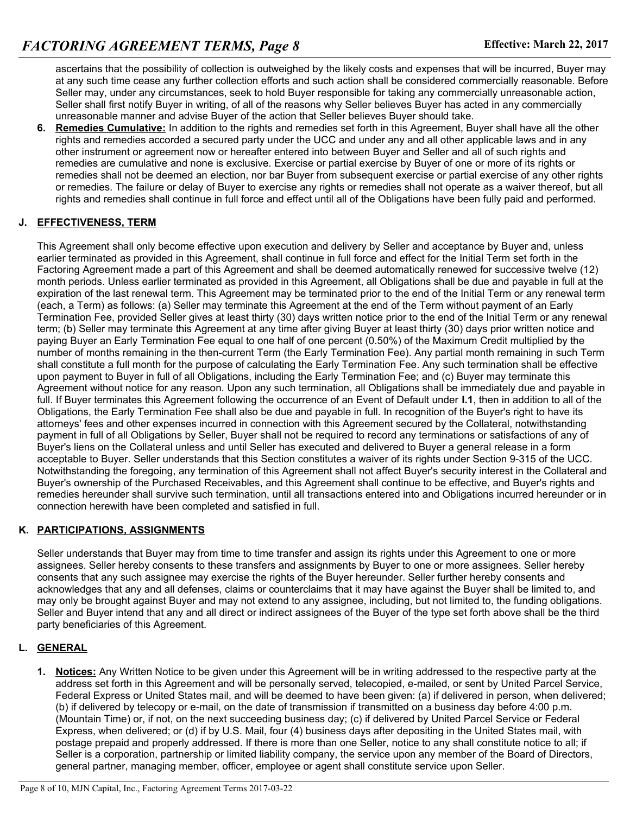ascertains that the possibility of collection is outweighed by the likely costs and expenses that will be incurred, Buyer may at any such time cease any further collection efforts and such action shall be considered commercially reasonable. Before Seller may, under any circumstances, seek to hold Buyer responsible for taking any commercially unreasonable action, Seller shall first notify Buyer in writing, of all of the reasons why Seller believes Buyer has acted in any commercially unreasonable manner and advise Buyer of the action that Seller believes Buyer should take.

**6. Remedies Cumulative:** In addition to the rights and remedies set forth in this Agreement, Buyer shall have all the other rights and remedies accorded a secured party under the UCC and under any and all other applicable laws and in any other instrument or agreement now or hereafter entered into between Buyer and Seller and all of such rights and remedies are cumulative and none is exclusive. Exercise or partial exercise by Buyer of one or more of its rights or remedies shall not be deemed an election, nor bar Buyer from subsequent exercise or partial exercise of any other rights or remedies. The failure or delay of Buyer to exercise any rights or remedies shall not operate as a waiver thereof, but all rights and remedies shall continue in full force and effect until all of the Obligations have been fully paid and performed.

#### **J. EFFECTIVENESS, TERM**

This Agreement shall only become effective upon execution and delivery by Seller and acceptance by Buyer and, unless earlier terminated as provided in this Agreement, shall continue in full force and effect for the Initial Term set forth in the Factoring Agreement made a part of this Agreement and shall be deemed automatically renewed for successive twelve (12) month periods. Unless earlier terminated as provided in this Agreement, all Obligations shall be due and payable in full at the expiration of the last renewal term. This Agreement may be terminated prior to the end of the Initial Term or any renewal term (each, a Term) as follows: (a) Seller may terminate this Agreement at the end of the Term without payment of an Early Termination Fee, provided Seller gives at least thirty (30) days written notice prior to the end of the Initial Term or any renewal term; (b) Seller may terminate this Agreement at any time after giving Buyer at least thirty (30) days prior written notice and paying Buyer an Early Termination Fee equal to one half of one percent (0.50%) of the Maximum Credit multiplied by the number of months remaining in the then-current Term (the Early Termination Fee). Any partial month remaining in such Term shall constitute a full month for the purpose of calculating the Early Termination Fee. Any such termination shall be effective upon payment to Buyer in full of all Obligations, including the Early Termination Fee; and (c) Buyer may terminate this Agreement without notice for any reason. Upon any such termination, all Obligations shall be immediately due and payable in full. If Buyer terminates this Agreement following the occurrence of an Event of Default under **I.1**, then in addition to all of the Obligations, the Early Termination Fee shall also be due and payable in full. In recognition of the Buyer's right to have its attorneys' fees and other expenses incurred in connection with this Agreement secured by the Collateral, notwithstanding payment in full of all Obligations by Seller, Buyer shall not be required to record any terminations or satisfactions of any of Buyer's liens on the Collateral unless and until Seller has executed and delivered to Buyer a general release in a form acceptable to Buyer. Seller understands that this Section constitutes a waiver of its rights under Section 9-315 of the UCC. Notwithstanding the foregoing, any termination of this Agreement shall not affect Buyer's security interest in the Collateral and Buyer's ownership of the Purchased Receivables, and this Agreement shall continue to be effective, and Buyer's rights and remedies hereunder shall survive such termination, until all transactions entered into and Obligations incurred hereunder or in connection herewith have been completed and satisfied in full.

#### **K. PARTICIPATIONS, ASSIGNMENTS**

Seller understands that Buyer may from time to time transfer and assign its rights under this Agreement to one or more assignees. Seller hereby consents to these transfers and assignments by Buyer to one or more assignees. Seller hereby consents that any such assignee may exercise the rights of the Buyer hereunder. Seller further hereby consents and acknowledges that any and all defenses, claims or counterclaims that it may have against the Buyer shall be limited to, and may only be brought against Buyer and may not extend to any assignee, including, but not limited to, the funding obligations. Seller and Buyer intend that any and all direct or indirect assignees of the Buyer of the type set forth above shall be the third party beneficiaries of this Agreement.

# **L. GENERAL**

**1. Notices:** Any Written Notice to be given under this Agreement will be in writing addressed to the respective party at the address set forth in this Agreement and will be personally served, telecopied, e-mailed, or sent by United Parcel Service, Federal Express or United States mail, and will be deemed to have been given: (a) if delivered in person, when delivered; (b) if delivered by telecopy or e-mail, on the date of transmission if transmitted on a business day before 4:00 p.m. (Mountain Time) or, if not, on the next succeeding business day; (c) if delivered by United Parcel Service or Federal Express, when delivered; or (d) if by U.S. Mail, four (4) business days after depositing in the United States mail, with postage prepaid and properly addressed. If there is more than one Seller, notice to any shall constitute notice to all; if Seller is a corporation, partnership or limited liability company, the service upon any member of the Board of Directors, general partner, managing member, officer, employee or agent shall constitute service upon Seller.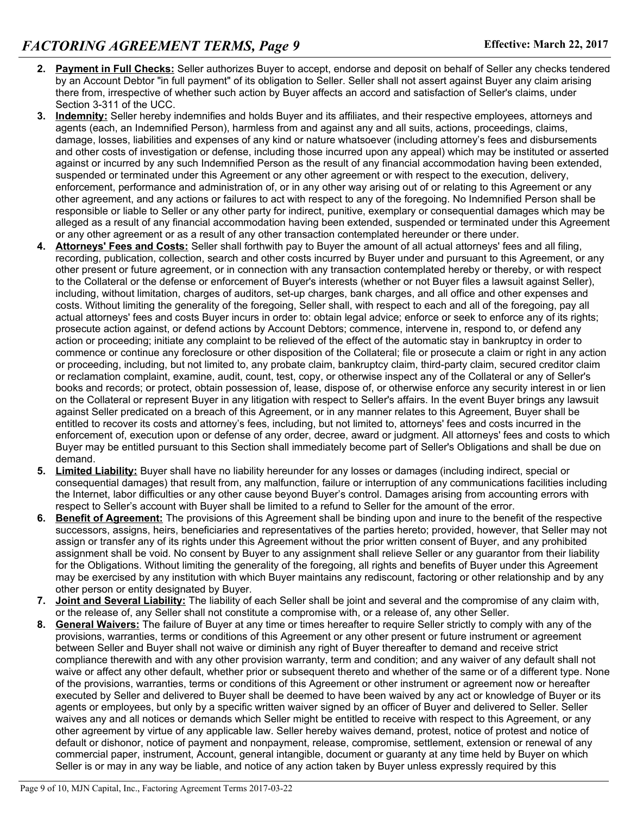- **2. Payment in Full Checks:** Seller authorizes Buyer to accept, endorse and deposit on behalf of Seller any checks tendered by an Account Debtor "in full payment" of its obligation to Seller. Seller shall not assert against Buyer any claim arising there from, irrespective of whether such action by Buyer affects an accord and satisfaction of Seller's claims, under Section 3-311 of the UCC.
- **3. Indemnity:** Seller hereby indemnifies and holds Buyer and its affiliates, and their respective employees, attorneys and agents (each, an Indemnified Person), harmless from and against any and all suits, actions, proceedings, claims, damage, losses, liabilities and expenses of any kind or nature whatsoever (including attorney's fees and disbursements and other costs of investigation or defense, including those incurred upon any appeal) which may be instituted or asserted against or incurred by any such Indemnified Person as the result of any financial accommodation having been extended, suspended or terminated under this Agreement or any other agreement or with respect to the execution, delivery, enforcement, performance and administration of, or in any other way arising out of or relating to this Agreement or any other agreement, and any actions or failures to act with respect to any of the foregoing. No Indemnified Person shall be responsible or liable to Seller or any other party for indirect, punitive, exemplary or consequential damages which may be alleged as a result of any financial accommodation having been extended, suspended or terminated under this Agreement or any other agreement or as a result of any other transaction contemplated hereunder or there under.
- **4. Attorneys' Fees and Costs:** Seller shall forthwith pay to Buyer the amount of all actual attorneys' fees and all filing, recording, publication, collection, search and other costs incurred by Buyer under and pursuant to this Agreement, or any other present or future agreement, or in connection with any transaction contemplated hereby or thereby, or with respect to the Collateral or the defense or enforcement of Buyer's interests (whether or not Buyer files a lawsuit against Seller), including, without limitation, charges of auditors, set-up charges, bank charges, and all office and other expenses and costs. Without limiting the generality of the foregoing, Seller shall, with respect to each and all of the foregoing, pay all actual attorneys' fees and costs Buyer incurs in order to: obtain legal advice; enforce or seek to enforce any of its rights; prosecute action against, or defend actions by Account Debtors; commence, intervene in, respond to, or defend any action or proceeding; initiate any complaint to be relieved of the effect of the automatic stay in bankruptcy in order to commence or continue any foreclosure or other disposition of the Collateral; file or prosecute a claim or right in any action or proceeding, including, but not limited to, any probate claim, bankruptcy claim, third-party claim, secured creditor claim or reclamation complaint, examine, audit, count, test, copy, or otherwise inspect any of the Collateral or any of Seller's books and records; or protect, obtain possession of, lease, dispose of, or otherwise enforce any security interest in or lien on the Collateral or represent Buyer in any litigation with respect to Seller's affairs. In the event Buyer brings any lawsuit against Seller predicated on a breach of this Agreement, or in any manner relates to this Agreement, Buyer shall be entitled to recover its costs and attorney's fees, including, but not limited to, attorneys' fees and costs incurred in the enforcement of, execution upon or defense of any order, decree, award or judgment. All attorneys' fees and costs to which Buyer may be entitled pursuant to this Section shall immediately become part of Seller's Obligations and shall be due on demand.
- **5. Limited Liability:** Buyer shall have no liability hereunder for any losses or damages (including indirect, special or consequential damages) that result from, any malfunction, failure or interruption of any communications facilities including the Internet, labor difficulties or any other cause beyond Buyer's control. Damages arising from accounting errors with respect to Seller's account with Buyer shall be limited to a refund to Seller for the amount of the error.
- **6. Benefit of Agreement:** The provisions of this Agreement shall be binding upon and inure to the benefit of the respective successors, assigns, heirs, beneficiaries and representatives of the parties hereto; provided, however, that Seller may not assign or transfer any of its rights under this Agreement without the prior written consent of Buyer, and any prohibited assignment shall be void. No consent by Buyer to any assignment shall relieve Seller or any guarantor from their liability for the Obligations. Without limiting the generality of the foregoing, all rights and benefits of Buyer under this Agreement may be exercised by any institution with which Buyer maintains any rediscount, factoring or other relationship and by any other person or entity designated by Buyer.
- **7. Joint and Several Liability:** The liability of each Seller shall be joint and several and the compromise of any claim with, or the release of, any Seller shall not constitute a compromise with, or a release of, any other Seller.
- **8. General Waivers:** The failure of Buyer at any time or times hereafter to require Seller strictly to comply with any of the provisions, warranties, terms or conditions of this Agreement or any other present or future instrument or agreement between Seller and Buyer shall not waive or diminish any right of Buyer thereafter to demand and receive strict compliance therewith and with any other provision warranty, term and condition; and any waiver of any default shall not waive or affect any other default, whether prior or subsequent thereto and whether of the same or of a different type. None of the provisions, warranties, terms or conditions of this Agreement or other instrument or agreement now or hereafter executed by Seller and delivered to Buyer shall be deemed to have been waived by any act or knowledge of Buyer or its agents or employees, but only by a specific written waiver signed by an officer of Buyer and delivered to Seller. Seller waives any and all notices or demands which Seller might be entitled to receive with respect to this Agreement, or any other agreement by virtue of any applicable law. Seller hereby waives demand, protest, notice of protest and notice of default or dishonor, notice of payment and nonpayment, release, compromise, settlement, extension or renewal of any commercial paper, instrument, Account, general intangible, document or guaranty at any time held by Buyer on which Seller is or may in any way be liable, and notice of any action taken by Buyer unless expressly required by this